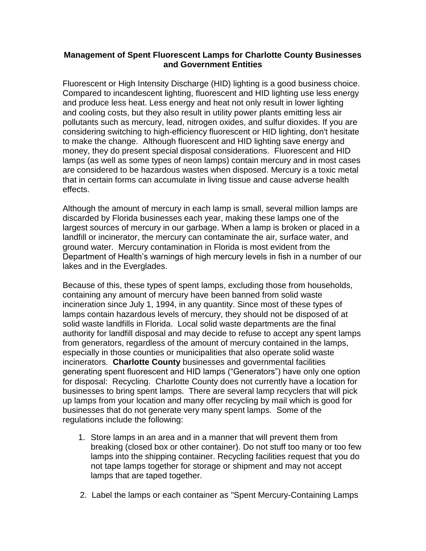## **Management of Spent Fluorescent Lamps for Charlotte County Businesses and Government Entities**

Fluorescent or High Intensity Discharge (HID) lighting is a good business choice. Compared to incandescent lighting, fluorescent and HID lighting use less energy and produce less heat. Less energy and heat not only result in lower lighting and cooling costs, but they also result in utility power plants emitting less air pollutants such as mercury, lead, nitrogen oxides, and sulfur dioxides. If you are considering switching to high-efficiency fluorescent or HID lighting, don't hesitate to make the change. Although fluorescent and HID lighting save energy and money, they do present special disposal considerations. Fluorescent and HID lamps (as well as some types of neon lamps) contain mercury and in most cases are considered to be hazardous wastes when disposed. Mercury is a toxic metal that in certain forms can accumulate in living tissue and cause adverse health effects.

Although the amount of mercury in each lamp is small, several million lamps are discarded by Florida businesses each year, making these lamps one of the largest sources of mercury in our garbage. When a lamp is broken or placed in a landfill or incinerator, the mercury can contaminate the air, surface water, and ground water. Mercury contamination in Florida is most evident from the Department of Health's warnings of high mercury levels in fish in a number of our lakes and in the Everglades.

Because of this, these types of spent lamps, excluding those from households, containing any amount of mercury have been banned from solid waste incineration since July 1, 1994, in any quantity. Since most of these types of lamps contain hazardous levels of mercury, they should not be disposed of at solid waste landfills in Florida. Local solid waste departments are the final authority for landfill disposal and may decide to refuse to accept any spent lamps from generators, regardless of the amount of mercury contained in the lamps, especially in those counties or municipalities that also operate solid waste incinerators. **Charlotte County** businesses and governmental facilities generating spent fluorescent and HID lamps ("Generators") have only one option for disposal: Recycling. Charlotte County does not currently have a location for businesses to bring spent lamps. There are several lamp recyclers that will pick up lamps from your location and many offer recycling by mail which is good for businesses that do not generate very many spent lamps. Some of the regulations include the following:

- 1. Store lamps in an area and in a manner that will prevent them from breaking (closed box or other container). Do not stuff too many or too few lamps into the shipping container. Recycling facilities request that you do not tape lamps together for storage or shipment and may not accept lamps that are taped together.
- 2. Label the lamps or each container as "Spent Mercury-Containing Lamps